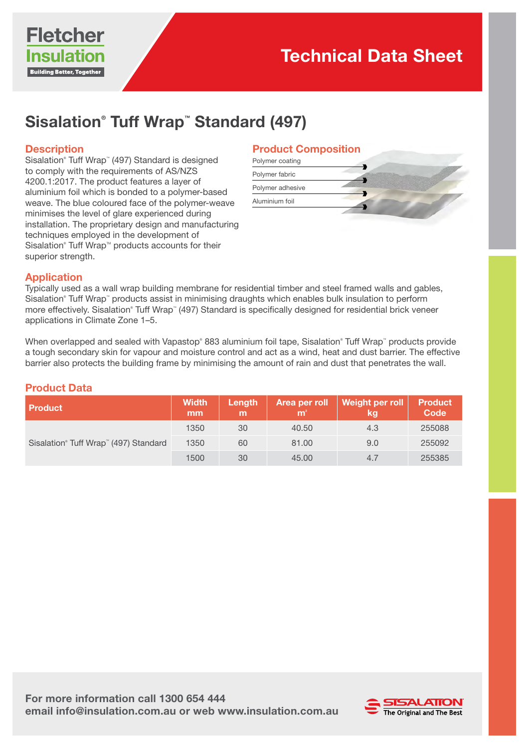

# Sisalation® Tuff Wrap™ Standard (497)

## **Description**

Sisalation® Tuff Wrap™ (497) Standard is designed to comply with the requirements of AS/NZS 4200.1:2017. The product features a layer of aluminium foil which is bonded to a polymer-based weave. The blue coloured face of the polymer-weave minimises the level of glare experienced during installation. The proprietary design and manufacturing techniques employed in the development of Sisalation® Tuff Wrap<sup>™</sup> products accounts for their superior strength.

### Product Composition

| Polymer coating  |  |
|------------------|--|
| Polymer fabric   |  |
| Polymer adhesive |  |
| Aluminium foil   |  |
|                  |  |

## Application

Typically used as a wall wrap building membrane for residential timber and steel framed walls and gables, Sisalation® Tuff Wrap™ products assist in minimising draughts which enables bulk insulation to perform more effectively. Sisalation® Tuff Wrap™ (497) Standard is specifically designed for residential brick veneer applications in Climate Zone 1–5.

When overlapped and sealed with Vapastop® 883 aluminium foil tape, Sisalation® Tuff Wrap™ products provide a tough secondary skin for vapour and moisture control and act as a wind, heat and dust barrier. The effective barrier also protects the building frame by minimising the amount of rain and dust that penetrates the wall.

#### Product Data

| <b>Product</b>                        | <b>Width</b><br>mm | Length<br>m | m <sup>2</sup> | Area per roll $\sqrt{\frac{1}{1-\frac{1}{2}}\left\lceil \frac{1}{2}\right\rceil}$<br>kg | <b>Product</b><br>Code |
|---------------------------------------|--------------------|-------------|----------------|-----------------------------------------------------------------------------------------|------------------------|
| Sisalation® Tuff Wrap™ (497) Standard | 1350               | 30          | 40.50          | 4.3                                                                                     | 255088                 |
|                                       | 1350               | 60          | 81.00          | 9.0                                                                                     | 255092                 |
|                                       | 1500               | 30          | 45.00          | 4.7                                                                                     | 255385                 |

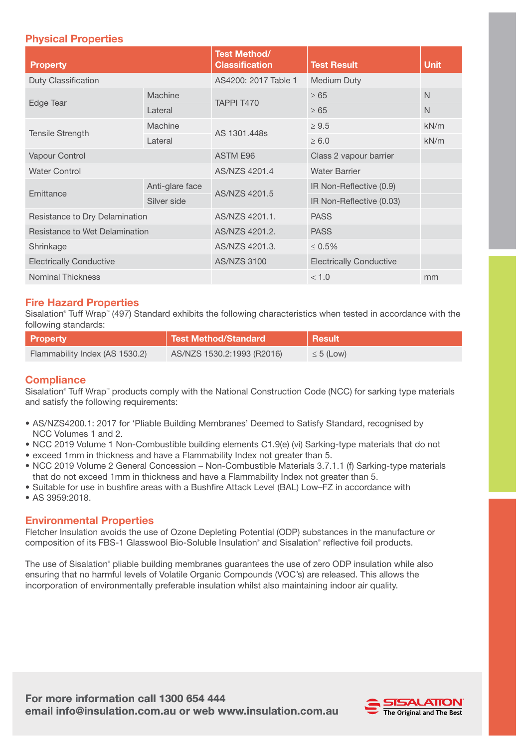## Physical Properties

| <b>Property</b>                |                 | <b>Test Method/</b><br><b>Classification</b> | <b>Test Result</b>             | <b>Unit</b>  |
|--------------------------------|-----------------|----------------------------------------------|--------------------------------|--------------|
| Duty Classification            |                 | AS4200: 2017 Table 1                         | Medium Duty                    |              |
| Edge Tear                      | Machine         | TAPPI T470                                   | $\geq 65$                      | $\mathsf{N}$ |
|                                | Lateral         |                                              | $\geq 65$                      | $\mathsf{N}$ |
| <b>Tensile Strength</b>        | Machine         | AS 1301,448s                                 | $\geq 9.5$                     | kN/m         |
|                                | Lateral         |                                              | $\geq 6.0$                     | kN/m         |
| Vapour Control                 |                 | <b>ASTM E96</b>                              | Class 2 vapour barrier         |              |
| <b>Water Control</b>           |                 | AS/NZS 4201.4                                | <b>Water Barrier</b>           |              |
| Emittance                      | Anti-glare face | AS/NZS 4201.5                                | IR Non-Reflective (0.9)        |              |
|                                | Silver side     |                                              | IR Non-Reflective (0.03)       |              |
| Resistance to Dry Delamination |                 | AS/NZS 4201.1.                               | <b>PASS</b>                    |              |
| Resistance to Wet Delamination |                 | AS/NZS 4201.2.                               | <b>PASS</b>                    |              |
| Shrinkage                      |                 | AS/NZS 4201.3.                               | $\leq 0.5\%$                   |              |
| <b>Electrically Conductive</b> |                 | <b>AS/NZS 3100</b>                           | <b>Electrically Conductive</b> |              |
| <b>Nominal Thickness</b>       |                 |                                              | < 1.0                          | mm           |

## Fire Hazard Properties

Sisalation® Tuff Wrap™ (497) Standard exhibits the following characteristics when tested in accordance with the following standards:

| <b>Property</b>                | Test Method/Standard       | <b>Result</b>  |
|--------------------------------|----------------------------|----------------|
| Flammability Index (AS 1530.2) | AS/NZS 1530.2:1993 (R2016) | $\leq 5$ (Low) |

### **Compliance**

Sisalation® Tuff Wrap™ products comply with the National Construction Code (NCC) for sarking type materials and satisfy the following requirements:

- AS/NZS4200.1: 2017 for 'Pliable Building Membranes' Deemed to Satisfy Standard, recognised by NCC Volumes 1 and 2.
- NCC 2019 Volume 1 Non-Combustible building elements C1.9(e) (vi) Sarking-type materials that do not
- exceed 1mm in thickness and have a Flammability Index not greater than 5.
- NCC 2019 Volume 2 General Concession Non-Combustible Materials 3.7.1.1 (f) Sarking-type materials that do not exceed 1mm in thickness and have a Flammability Index not greater than 5.
- Suitable for use in bushfire areas with a Bushfire Attack Level (BAL) Low–FZ in accordance with
- AS 3959:2018.

#### Environmental Properties

Fletcher Insulation avoids the use of Ozone Depleting Potential (ODP) substances in the manufacture or composition of its FBS-1 Glasswool Bio-Soluble Insulation® and Sisalation® reflective foil products.

The use of Sisalation® pliable building membranes guarantees the use of zero ODP insulation while also ensuring that no harmful levels of Volatile Organic Compounds (VOC's) are released. This allows the incorporation of environmentally preferable insulation whilst also maintaining indoor air quality.